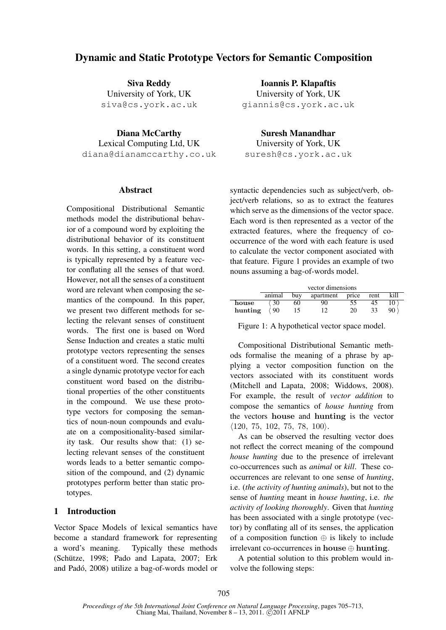# Dynamic and Static Prototype Vectors for Semantic Composition

Siva Reddy University of York, UK siva@cs.york.ac.uk

Diana McCarthy Lexical Computing Ltd, UK diana@dianamccarthy.co.uk

## **Abstract**

Compositional Distributional Semantic methods model the distributional behavior of a compound word by exploiting the distributional behavior of its constituent words. In this setting, a constituent word is typically represented by a feature vector conflating all the senses of that word. However, not all the senses of a constituent word are relevant when composing the semantics of the compound. In this paper, we present two different methods for selecting the relevant senses of constituent words. The first one is based on Word Sense Induction and creates a static multi prototype vectors representing the senses of a constituent word. The second creates a single dynamic prototype vector for each constituent word based on the distributional properties of the other constituents in the compound. We use these prototype vectors for composing the semantics of noun-noun compounds and evaluate on a compositionality-based similarity task. Our results show that: (1) selecting relevant senses of the constituent words leads to a better semantic composition of the compound, and (2) dynamic prototypes perform better than static prototypes.

## 1 Introduction

Vector Space Models of lexical semantics have become a standard framework for representing a word's meaning. Typically these methods (Schütze, 1998; Pado and Lapata, 2007; Erk and Pado, 2008) utilize a bag-of-words model or ´

Ioannis P. Klapaftis University of York, UK giannis@cs.york.ac.uk

Suresh Manandhar

University of York, UK suresh@cs.york.ac.uk

syntactic dependencies such as subject/verb, object/verb relations, so as to extract the features which serve as the dimensions of the vector space. Each word is then represented as a vector of the extracted features, where the frequency of cooccurrence of the word with each feature is used to calculate the vector component asociated with that feature. Figure 1 provides an example of two nouns assuming a bag-of-words model.

|         | vector dimensions |     |           |       |      |      |
|---------|-------------------|-----|-----------|-------|------|------|
|         | animal            | buv | apartment | price | rent | kill |
| house   |                   | 60  |           |       |      | 10   |
| hunting | $^{\prime}$ 90    |     |           | 20    | 33   | 90   |

Figure 1: A hypothetical vector space model.

Compositional Distributional Semantic methods formalise the meaning of a phrase by applying a vector composition function on the vectors associated with its constituent words (Mitchell and Lapata, 2008; Widdows, 2008). For example, the result of *vector addition* to compose the semantics of *house hunting* from the vectors house and hunting is the vector  $\langle 120, 75, 102, 75, 78, 100 \rangle.$ 

As can be observed the resulting vector does not reflect the correct meaning of the compound *house hunting* due to the presence of irrelevant co-occurrences such as *animal* or *kill*. These cooccurrences are relevant to one sense of *hunting*, i.e. (*the activity of hunting animals*), but not to the sense of *hunting* meant in *house hunting*, i.e. *the activity of looking thoroughly*. Given that *hunting* has been associated with a single prototype (vector) by conflating all of its senses, the application of a composition function  $\oplus$  is likely to include irrelevant co-occurrences in house ⊕ hunting.

A potential solution to this problem would involve the following steps: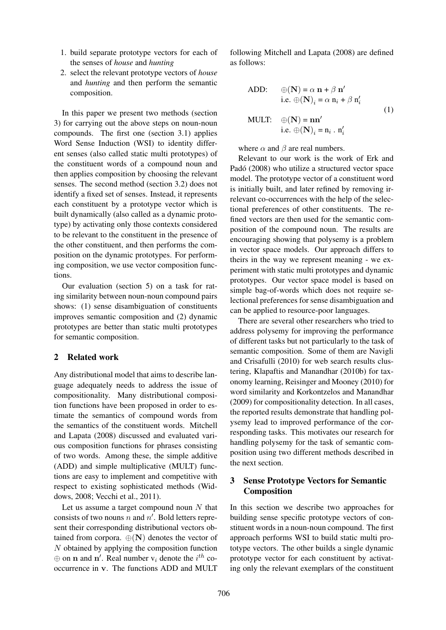- 1. build separate prototype vectors for each of the senses of *house* and *hunting*
- 2. select the relevant prototype vectors of *house* and *hunting* and then perform the semantic composition.

In this paper we present two methods (section 3) for carrying out the above steps on noun-noun compounds. The first one (section 3.1) applies Word Sense Induction (WSI) to identity different senses (also called static multi prototypes) of the constituent words of a compound noun and then applies composition by choosing the relevant senses. The second method (section 3.2) does not identify a fixed set of senses. Instead, it represents each constituent by a prototype vector which is built dynamically (also called as a dynamic prototype) by activating only those contexts considered to be relevant to the constituent in the presence of the other constituent, and then performs the composition on the dynamic prototypes. For performing composition, we use vector composition functions.

Our evaluation (section 5) on a task for rating similarity between noun-noun compound pairs shows: (1) sense disambiguation of constituents improves semantic composition and (2) dynamic prototypes are better than static multi prototypes for semantic composition.

## 2 Related work

Any distributional model that aims to describe language adequately needs to address the issue of compositionality. Many distributional composition functions have been proposed in order to estimate the semantics of compound words from the semantics of the constituent words. Mitchell and Lapata (2008) discussed and evaluated various composition functions for phrases consisting of two words. Among these, the simple additive (ADD) and simple multiplicative (MULT) functions are easy to implement and competitive with respect to existing sophisticated methods (Widdows, 2008; Vecchi et al., 2011).

Let us assume a target compound noun  $N$  that consists of two nouns n and  $n'$ . Bold letters represent their corresponding distributional vectors obtained from corpora.  $\oplus$ (N) denotes the vector of N obtained by applying the composition function  $\oplus$  on n and n'. Real number  $v_i$  denote the  $i^{th}$  cooccurrence in v. The functions ADD and MULT

following Mitchell and Lapata (2008) are defined as follows:

$$
\begin{aligned}\n\text{ADD:} \quad & \oplus (\mathbf{N}) = \alpha \, \mathbf{n} + \beta \, \mathbf{n}' \\
\text{i.e.} \oplus (\mathbf{N})_i &= \alpha \, \mathbf{n}_i + \beta \, \mathbf{n}'_i \\
\text{MULT:} \quad & \oplus (\mathbf{N}) = \mathbf{n}\mathbf{n}' \\
\text{i.e.} \oplus (\mathbf{N})_i &= \mathbf{n}_i \cdot \mathbf{n}'_i\n\end{aligned} \tag{1}
$$

where  $\alpha$  and  $\beta$  are real numbers.

Relevant to our work is the work of Erk and Padó (2008) who utilize a structured vector space model. The prototype vector of a constituent word is initially built, and later refined by removing irrelevant co-occurrences with the help of the selectional preferences of other constituents. The refined vectors are then used for the semantic composition of the compound noun. The results are encouraging showing that polysemy is a problem in vector space models. Our approach differs to theirs in the way we represent meaning - we experiment with static multi prototypes and dynamic prototypes. Our vector space model is based on simple bag-of-words which does not require selectional preferences for sense disambiguation and can be applied to resource-poor languages.

There are several other researchers who tried to address polysemy for improving the performance of different tasks but not particularly to the task of semantic composition. Some of them are Navigli and Crisafulli (2010) for web search results clustering, Klapaftis and Manandhar (2010b) for taxonomy learning, Reisinger and Mooney (2010) for word similarity and Korkontzelos and Manandhar (2009) for compositionality detection. In all cases, the reported results demonstrate that handling polysemy lead to improved performance of the corresponding tasks. This motivates our research for handling polysemy for the task of semantic composition using two different methods described in the next section.

## 3 Sense Prototype Vectors for Semantic Composition

In this section we describe two approaches for building sense specific prototype vectors of constituent words in a noun-noun compound. The first approach performs WSI to build static multi prototype vectors. The other builds a single dynamic prototype vector for each constituent by activating only the relevant exemplars of the constituent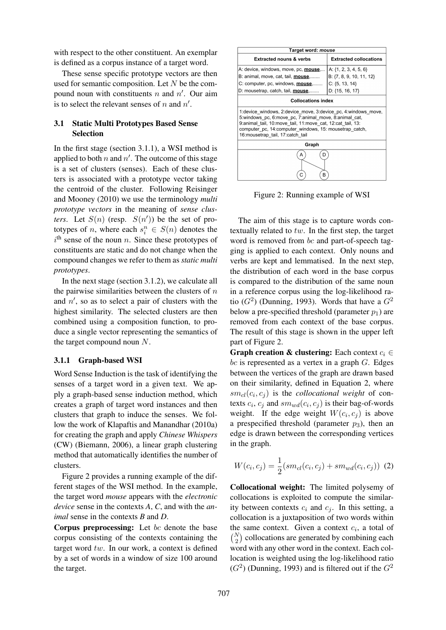with respect to the other constituent. An exemplar is defined as a corpus instance of a target word.

These sense specific prototype vectors are then used for semantic composition. Let N be the compound noun with constituents n and  $n'$ . Our aim is to select the relevant senses of n and  $n'$ .

## 3.1 Static Multi Prototypes Based Sense Selection

In the first stage (section 3.1.1), a WSI method is applied to both n and  $n'$ . The outcome of this stage is a set of clusters (senses). Each of these clusters is associated with a prototype vector taking the centroid of the cluster. Following Reisinger and Mooney (2010) we use the terminology *multi prototype vectors* in the meaning of *sense clusters.* Let  $S(n)$  (resp.  $S(n')$ ) be the set of prototypes of *n*, where each  $s_i^n \in S(n)$  denotes the  $i<sup>th</sup>$  sense of the noun n. Since these prototypes of constituents are static and do not change when the compound changes we refer to them as *static multi prototypes*.

In the next stage (section 3.1.2), we calculate all the pairwise similarities between the clusters of  $n$ and  $n'$ , so as to select a pair of clusters with the highest similarity. The selected clusters are then combined using a composition function, to produce a single vector representing the semantics of the target compound noun N.

## 3.1.1 Graph-based WSI

Word Sense Induction is the task of identifying the senses of a target word in a given text. We apply a graph-based sense induction method, which creates a graph of target word instances and then clusters that graph to induce the senses. We follow the work of Klapaftis and Manandhar (2010a) for creating the graph and apply *Chinese Whispers* (CW) (Biemann, 2006), a linear graph clustering method that automatically identifies the number of clusters.

Figure 2 provides a running example of the different stages of the WSI method. In the example, the target word *mouse* appears with the *electronic device* sense in the contexts *A*, *C*, and with the *animal* sense in the contexts *B* and *D*.

Corpus preprocessing: Let  $bc$  denote the base corpus consisting of the contexts containing the target word tw. In our work, a context is defined by a set of words in a window of size 100 around the target.



Figure 2: Running example of WSI

The aim of this stage is to capture words contextually related to  $tw$ . In the first step, the target word is removed from bc and part-of-speech tagging is applied to each context. Only nouns and verbs are kept and lemmatised. In the next step, the distribution of each word in the base corpus is compared to the distribution of the same noun in a reference corpus using the log-likelihood ratio  $(G<sup>2</sup>)$  (Dunning, 1993). Words that have a  $G<sup>2</sup>$ below a pre-specified threshold (parameter  $p_1$ ) are removed from each context of the base corpus. The result of this stage is shown in the upper left part of Figure 2.

**Graph creation & clustering:** Each context  $c_i \in$ bc is represented as a vertex in a graph  $G$ . Edges between the vertices of the graph are drawn based on their similarity, defined in Equation 2, where  $sm_{cl}(c_i, c_j)$  is the *collocational weight* of contexts  $c_i$ ,  $c_j$  and  $sm_{wd}(c_i, c_j)$  is their bag-of-words weight. If the edge weight  $W(c_i, c_j)$  is above a prespecified threshold (parameter  $p_3$ ), then an edge is drawn between the corresponding vertices in the graph.

$$
W(c_i, c_j) = \frac{1}{2}(sm_{cl}(c_i, c_j) + sm_{wd}(c_i, c_j))
$$
 (2)

Collocational weight: The limited polysemy of collocations is exploited to compute the similarity between contexts  $c_i$  and  $c_j$ . In this setting, a collocation is a juxtaposition of two words within the same context. Given a context  $c_i$ , a total of  $\binom{N}{2}$  collocations are generated by combining each word with any other word in the context. Each collocation is weighted using the log-likelihood ratio  $(G<sup>2</sup>)$  (Dunning, 1993) and is filtered out if the  $G<sup>2</sup>$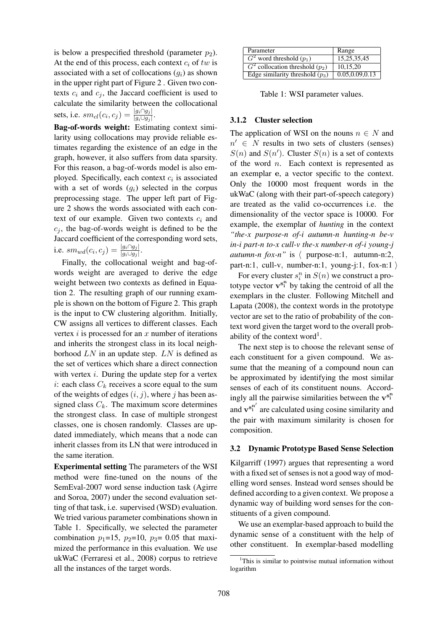is below a prespecified threshold (parameter  $p_2$ ). At the end of this process, each context  $c_i$  of tw is associated with a set of collocations  $(q_i)$  as shown in the upper right part of Figure 2 . Given two contexts  $c_i$  and  $c_j$ , the Jaccard coefficient is used to calculate the similarity between the collocational sets, i.e.  $sm_{cl}(c_i, c_j) = \frac{|g_i \cap g_j|}{|g_i \cup g_j|}$ .

Bag-of-words weight: Estimating context similarity using collocations may provide reliable estimates regarding the existence of an edge in the graph, however, it also suffers from data sparsity. For this reason, a bag-of-words model is also employed. Specifically, each context  $c_i$  is associated with a set of words  $(q_i)$  selected in the corpus preprocessing stage. The upper left part of Figure 2 shows the words associated with each context of our example. Given two contexts  $c_i$  and  $c_i$ , the bag-of-words weight is defined to be the Jaccard coefficient of the corresponding word sets, i.e.  $sm_{wd}(c_i, c_j) = \frac{|g_i \cap g_j|}{|g_i \cup g_j|}$ .

Finally, the collocational weight and bag-ofwords weight are averaged to derive the edge weight between two contexts as defined in Equation 2. The resulting graph of our running example is shown on the bottom of Figure 2. This graph is the input to CW clustering algorithm. Initially, CW assigns all vertices to different classes. Each vertex  $i$  is processed for an  $x$  number of iterations and inherits the strongest class in its local neighborhood  $LN$  in an update step.  $LN$  is defined as the set of vertices which share a direct connection with vertex  $i$ . During the update step for a vertex i: each class  $C_k$  receives a score equal to the sum of the weights of edges  $(i, j)$ , where j has been assigned class  $C_k$ . The maximum score determines the strongest class. In case of multiple strongest classes, one is chosen randomly. Classes are updated immediately, which means that a node can inherit classes from its LN that were introduced in the same iteration.

Experimental setting The parameters of the WSI method were fine-tuned on the nouns of the SemEval-2007 word sense induction task (Agirre and Soroa, 2007) under the second evaluation setting of that task, i.e. supervised (WSD) evaluation. We tried various parameter combinations shown in Table 1. Specifically, we selected the parameter combination  $p_1=15$ ,  $p_2=10$ ,  $p_3=0.05$  that maximized the performance in this evaluation. We use ukWaC (Ferraresi et al., 2008) corpus to retrieve all the instances of the target words.

| Parameter                         | Range            |
|-----------------------------------|------------------|
| $G2$ word threshold $(p1)$        | 15, 25, 35, 45   |
| $G2$ collocation threshold $(p2)$ | 10.15.20         |
| Edge similarity threshold $(p_3)$ | 0.05, 0.09, 0.13 |

Table 1: WSI parameter values.

## 3.1.2 Cluster selection

The application of WSI on the nouns  $n \in N$  and  $n' \in N$  results in two sets of clusters (senses)  $S(n)$  and  $S(n')$ . Cluster  $S(n)$  is a set of contexts of the word  $n$ . Each context is represented as an exemplar e, a vector specific to the context. Only the 10000 most frequent words in the ukWaC (along with their part-of-speech category) are treated as the valid co-occurrences i.e. the dimensionality of the vector space is 10000. For example, the exemplar of *hunting* in the context *"the-x purpose-n of-i autumn-n hunting-n be-v in-i part-n to-x cull-v the-x number-n of-i young-j autumn-n fox-n*" is  $\langle$  purpose-n:1, autumn-n:2, part-n:1, cull-v, number-n:1, young-j:1, fox-n:1  $\rangle$ 

For every cluster  $s_i^n$  in  $S(n)$  we construct a prototype vector  $v^{s_1^n}$  by taking the centroid of all the exemplars in the cluster. Following Mitchell and Lapata (2008), the context words in the prototype vector are set to the ratio of probability of the context word given the target word to the overall probability of the context word<sup>1</sup>.

The next step is to choose the relevant sense of each constituent for a given compound. We assume that the meaning of a compound noun can be approximated by identifying the most similar senses of each of its constituent nouns. Accordingly all the pairwise similarities between the  $v^{s_i^n}$ and  $v^{s_i^{n'}}$  are calculated using cosine similarity and the pair with maximum similarity is chosen for composition.

### 3.2 Dynamic Prototype Based Sense Selection

Kilgarriff (1997) argues that representing a word with a fixed set of senses is not a good way of modelling word senses. Instead word senses should be defined according to a given context. We propose a dynamic way of building word senses for the constituents of a given compound.

We use an exemplar-based approach to build the dynamic sense of a constituent with the help of other constituent. In exemplar-based modelling

<sup>&</sup>lt;sup>1</sup>This is similar to pointwise mutual information without logarithm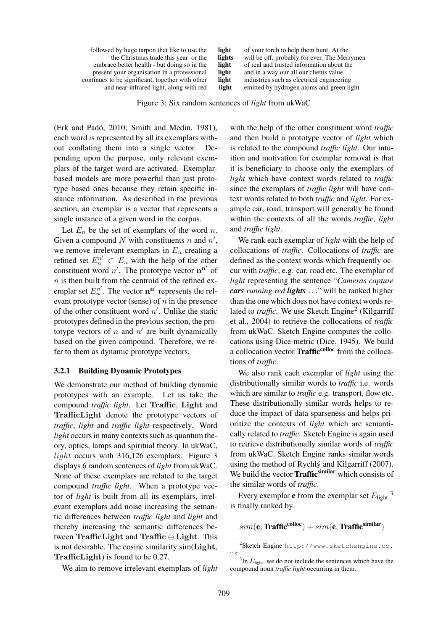| light<br>lights<br>light<br>light<br>light | of your torch to help them hunt. At the<br>will be off, probably for ever. The Merrymen<br>of real and trusted information about the<br>and in a way our all our clients value.<br>industries such as electrical engineering |
|--------------------------------------------|------------------------------------------------------------------------------------------------------------------------------------------------------------------------------------------------------------------------------|
| light                                      | emitted by hydrogen atoms and green light                                                                                                                                                                                    |
|                                            |                                                                                                                                                                                                                              |

Figure 3: Six random sentences of *light* from ukWaC

(Erk and Padó, 2010; Smith and Medin, 1981), each word is represented by all its exemplars without conflating them into a single vector. Depending upon the purpose, only relevant exemplars of the target word are activated. Exemplarbased models are more powerful than just prototype based ones because they retain specific instance information. As described in the previous section, an exemplar is a vector that represents a single instance of a given word in the corpus.

Let  $E_n$  be the set of exemplars of the word n. Given a compound N with constituents n and  $n'$ , we remove irrelevant exemplars in  $E_n$  creating a refined set  $E_n^{n'} \subset E_n$  with the help of the other constituent word  $n'$ . The prototype vector  $\mathbf{n}^{n'}$  of  $n$  is then built from the centroid of the refined exemplar set  $E_n^{n'}$ . The vector  $\mathbf{n}^{\mathbf{n}'}$  represents the relevant prototype vector (sense) of  $n$  in the presence of the other constituent word  $n'$ . Unlike the static prototypes defined in the previous section, the prototype vectors of n and  $n'$  are built dynamically based on the given compound. Therefore, we refer to them as dynamic prototype vectors.

#### 3.2.1 Building Dynamic Prototypes

We demonstrate our method of building dynamic prototypes with an example. Let us take the compound *traffic light*. Let Traffic, Light and TrafficLight denote the prototype vectors of *traffic*, *light* and *traffic light* respectively. Word *light* occurs in many contexts such as quantum theory, optics, lamps and spiritual theory. In ukWaC, light occurs with 316,126 exemplars. Figure 3 displays 6 random sentences of *light* from ukWaC. None of these exemplars are related to the target compound *traffic light*. When a prototype vector of *light* is built from all its exemplars, irrelevant exemplars add noise increasing the semantic differences between *traffic light* and *light* and thereby increasing the semantic differences between TrafficLight and Traffic ⊕ Light. This is not desirable. The cosine similarity sim(Light, TrafficLight) is found to be 0.27.

We aim to remove irrelevant exemplars of *light*

with the help of the other constituent word *traffic* and then build a prototype vector of *light* which is related to the compound *traffic light*. Our intuition and motivation for exemplar removal is that it is beneficiary to choose only the exemplars of *light* which have context words related to *traffic* since the exemplars of *traffic light* will have context words related to both *traffic* and *light*. For example car, road, transport will generally be found within the contexts of all the words *traffic*, *light* and *traffic light*.

We rank each exemplar of *light* with the help of collocations of *traffic*. Collocations of *traffic* are defined as the context words which frequently occur with *traffic*, e.g. car, road etc. The exemplar of *light* representing the sentence "*Cameras capture cars running red lights* . . ." will be ranked higher than the one which does not have context words related to *traffic*. We use Sketch Engine<sup>2</sup> (Kilgarriff et al., 2004) to retrieve the collocations of *traffic* from ukWaC. Sketch Engine computes the collocations using Dice metric (Dice, 1945). We build a collocation vector Traffic<sup>colloc</sup> from the collocations of *traffic*.

We also rank each exemplar of *light* using the distributionally similar words to *traffic* i.e. words which are similar to *traffic* e.g. transport, flow etc. These distributionally similar words helps to reduce the impact of data sparseness and helps prioritize the contexts of *light* which are semantically related to *traffic*. Sketch Engine is again used to retrieve distributionally similar words of *traffic* from ukWaC. Sketch Engine ranks similar words using the method of Rychlý and Kilgarriff (2007). We build the vector Traffic<sup>similar</sup> which consists of the similar words of *traffic*.

Every exemplar **e** from the exemplar set  $E_{\text{light}}$ <sup>3</sup> is finally ranked by

 $sim(\mathbf{e}, \text{Traffic}^{\text{colloc}}) + sim(\mathbf{e}, \text{Traffic}^{\text{similar}})$ 

<sup>2</sup> Sketch Engine http://www.sketchengine.co. uk

 ${}^{3}$ In  $E_{\text{light}}$ , we do not include the sentences which have the compound noun *traffic light* occurring in them.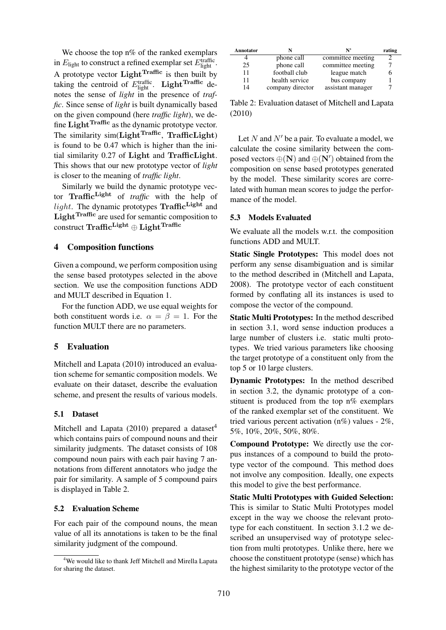We choose the top n% of the ranked exemplars in  $E_{\text{light}}$  to construct a refined exemplar set  $E_{\text{light}}^{\text{traffic}}$ . A prototype vector  $Light^{Traffic}$  is then built by taking the centroid of  $E_{\text{light}}^{\text{traffic}}$ . Light<sup>Traffic</sup> denotes the sense of *light* in the presence of *traffic*. Since sense of *light* is built dynamically based on the given compound (here *traffic light*), we define Light $^{Traffic}$  as the dynamic prototype vector. The similarity sim(Light<sup>Traffic</sup>, TrafficLight) is found to be 0.47 which is higher than the initial similarity 0.27 of Light and TrafficLight. This shows that our new prototype vector of *light* is closer to the meaning of *traffic light*.

Similarly we build the dynamic prototype vector Traffic<sup>Light</sup> of *traffic* with the help of *light*. The dynamic prototypes  $\text{Traffic}^{\text{Light}}$  and Light<sup>Traffic</sup> are used for semantic composition to construct Traffic<sup>Light</sup>  $\oplus$  Light<sup>Traffic</sup>

#### 4 Composition functions

Given a compound, we perform composition using the sense based prototypes selected in the above section. We use the composition functions ADD and MULT described in Equation 1.

For the function ADD, we use equal weights for both constituent words i.e.  $\alpha = \beta = 1$ . For the function MULT there are no parameters.

## 5 Evaluation

Mitchell and Lapata (2010) introduced an evaluation scheme for semantic composition models. We evaluate on their dataset, describe the evaluation scheme, and present the results of various models.

## 5.1 Dataset

Mitchell and Lapata  $(2010)$  prepared a dataset<sup>4</sup> which contains pairs of compound nouns and their similarity judgments. The dataset consists of 108 compound noun pairs with each pair having 7 annotations from different annotators who judge the pair for similarity. A sample of 5 compound pairs is displayed in Table 2.

## 5.2 Evaluation Scheme

For each pair of the compound nouns, the mean value of all its annotations is taken to be the final similarity judgment of the compound.

| Annotator |                  | N,                | rating |
|-----------|------------------|-------------------|--------|
|           | phone call       | committee meeting |        |
| 25        | phone call       | committee meeting |        |
| 11        | football club    | league match      |        |
| 11        | health service   | bus company       |        |
| 14        | company director | assistant manager |        |

Table 2: Evaluation dataset of Mitchell and Lapata (2010)

Let N and  $N'$  be a pair. To evaluate a model, we calculate the cosine similarity between the composed vectors  $\oplus$  (**N**) and  $\oplus$  (**N**') obtained from the composition on sense based prototypes generated by the model. These similarity scores are correlated with human mean scores to judge the performance of the model.

#### 5.3 Models Evaluated

We evaluate all the models w.r.t. the composition functions ADD and MULT.

Static Single Prototypes: This model does not perform any sense disambiguation and is similar to the method described in (Mitchell and Lapata, 2008). The prototype vector of each constituent formed by conflating all its instances is used to compose the vector of the compound.

Static Multi Prototypes: In the method described in section 3.1, word sense induction produces a large number of clusters i.e. static multi prototypes. We tried various parameters like choosing the target prototype of a constituent only from the top 5 or 10 large clusters.

Dynamic Prototypes: In the method described in section 3.2, the dynamic prototype of a constituent is produced from the top n% exemplars of the ranked exemplar set of the constituent. We tried various percent activation  $(n\%)$  values - 2%, 5%, 10%, 20%, 50%, 80%.

Compound Prototype: We directly use the corpus instances of a compound to build the prototype vector of the compound. This method does not involve any composition. Ideally, one expects this model to give the best performance.

Static Multi Prototypes with Guided Selection: This is similar to Static Multi Prototypes model except in the way we choose the relevant prototype for each constituent. In section 3.1.2 we described an unsupervised way of prototype selection from multi prototypes. Unlike there, here we choose the constituent prototype (sense) which has the highest similarity to the prototype vector of the

<sup>&</sup>lt;sup>4</sup>We would like to thank Jeff Mitchell and Mirella Lapata for sharing the dataset.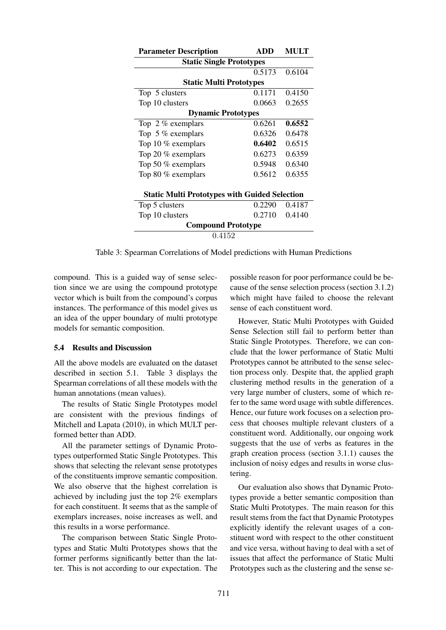| <b>Parameter Description</b>                         | ADD    | MULT   |  |  |  |  |
|------------------------------------------------------|--------|--------|--|--|--|--|
| <b>Static Single Prototypes</b>                      |        |        |  |  |  |  |
|                                                      | 0.5173 | 0.6104 |  |  |  |  |
| <b>Static Multi Prototypes</b>                       |        |        |  |  |  |  |
| Top 5 clusters                                       | 0.1171 | 0.4150 |  |  |  |  |
| Top 10 clusters                                      | 0.0663 | 0.2655 |  |  |  |  |
| <b>Dynamic Prototypes</b>                            |        |        |  |  |  |  |
| Top $2\%$ exemplars                                  | 0.6261 | 0.6552 |  |  |  |  |
| Top 5 $%$ exemplars                                  | 0.6326 | 0.6478 |  |  |  |  |
| Top 10 $%$ exemplars                                 | 0.6402 | 0.6515 |  |  |  |  |
| Top 20 % exemplars                                   | 0.6273 | 0.6359 |  |  |  |  |
| Top 50 $%$ exemplars                                 | 0.5948 | 0.6340 |  |  |  |  |
| Top 80 $%$ exemplars                                 | 0.5612 | 0.6355 |  |  |  |  |
|                                                      |        |        |  |  |  |  |
| <b>Static Multi Prototypes with Guided Selection</b> |        |        |  |  |  |  |
| Top 5 clusters                                       | 0.2290 | 0.4187 |  |  |  |  |
| Top 10 clusters                                      | 0.2710 | 0.4140 |  |  |  |  |
| <b>Compound Prototype</b>                            |        |        |  |  |  |  |
| 0.4152                                               |        |        |  |  |  |  |

Table 3: Spearman Correlations of Model predictions with Human Predictions

compound. This is a guided way of sense selection since we are using the compound prototype vector which is built from the compound's corpus instances. The performance of this model gives us an idea of the upper boundary of multi prototype models for semantic composition.

#### 5.4 Results and Discussion

All the above models are evaluated on the dataset described in section 5.1. Table 3 displays the Spearman correlations of all these models with the human annotations (mean values).

The results of Static Single Prototypes model are consistent with the previous findings of Mitchell and Lapata (2010), in which MULT performed better than ADD.

All the parameter settings of Dynamic Prototypes outperformed Static Single Prototypes. This shows that selecting the relevant sense prototypes of the constituents improve semantic composition. We also observe that the highest correlation is achieved by including just the top 2% exemplars for each constituent. It seems that as the sample of exemplars increases, noise increases as well, and this results in a worse performance.

The comparison between Static Single Prototypes and Static Multi Prototypes shows that the former performs significantly better than the latter. This is not according to our expectation. The possible reason for poor performance could be because of the sense selection process (section 3.1.2) which might have failed to choose the relevant sense of each constituent word.

However, Static Multi Prototypes with Guided Sense Selection still fail to perform better than Static Single Prototypes. Therefore, we can conclude that the lower performance of Static Multi Prototypes cannot be attributed to the sense selection process only. Despite that, the applied graph clustering method results in the generation of a very large number of clusters, some of which refer to the same word usage with subtle differences. Hence, our future work focuses on a selection process that chooses multiple relevant clusters of a constituent word. Additionally, our ongoing work suggests that the use of verbs as features in the graph creation process (section 3.1.1) causes the inclusion of noisy edges and results in worse clustering.

Our evaluation also shows that Dynamic Prototypes provide a better semantic composition than Static Multi Prototypes. The main reason for this result stems from the fact that Dynamic Prototypes explicitly identify the relevant usages of a constituent word with respect to the other constituent and vice versa, without having to deal with a set of issues that affect the performance of Static Multi Prototypes such as the clustering and the sense se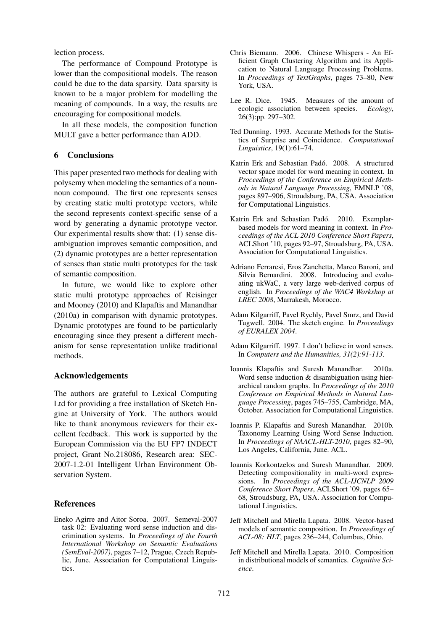lection process.

The performance of Compound Prototype is lower than the compositional models. The reason could be due to the data sparsity. Data sparsity is known to be a major problem for modelling the meaning of compounds. In a way, the results are encouraging for compositional models.

In all these models, the composition function MULT gave a better performance than ADD.

## 6 Conclusions

This paper presented two methods for dealing with polysemy when modeling the semantics of a nounnoun compound. The first one represents senses by creating static multi prototype vectors, while the second represents context-specific sense of a word by generating a dynamic prototype vector. Our experimental results show that: (1) sense disambiguation improves semantic composition, and (2) dynamic prototypes are a better representation of senses than static multi prototypes for the task of semantic composition.

In future, we would like to explore other static multi prototype approaches of Reisinger and Mooney (2010) and Klapaftis and Manandhar (2010a) in comparison with dynamic prototypes. Dynamic prototypes are found to be particularly encouraging since they present a different mechanism for sense representation unlike traditional methods.

## Acknowledgements

The authors are grateful to Lexical Computing Ltd for providing a free installation of Sketch Engine at University of York. The authors would like to thank anonymous reviewers for their excellent feedback. This work is supported by the European Commission via the EU FP7 INDECT project, Grant No.218086, Research area: SEC-2007-1.2-01 Intelligent Urban Environment Observation System.

## References

Eneko Agirre and Aitor Soroa. 2007. Semeval-2007 task 02: Evaluating word sense induction and discrimination systems. In *Proceedings of the Fourth International Workshop on Semantic Evaluations (SemEval-2007)*, pages 7–12, Prague, Czech Republic, June. Association for Computational Linguistics.

- Chris Biemann. 2006. Chinese Whispers An Efficient Graph Clustering Algorithm and its Application to Natural Language Processing Problems. In *Proceedings of TextGraphs*, pages 73–80, New York, USA.
- Lee R. Dice. 1945. Measures of the amount of ecologic association between species. *Ecology*, 26(3):pp. 297–302.
- Ted Dunning. 1993. Accurate Methods for the Statistics of Surprise and Coincidence. *Computational Linguistics*, 19(1):61–74.
- Katrin Erk and Sebastian Padó. 2008. A structured vector space model for word meaning in context. In *Proceedings of the Conference on Empirical Methods in Natural Language Processing*, EMNLP '08, pages 897–906, Stroudsburg, PA, USA. Association for Computational Linguistics.
- Katrin Erk and Sebastian Padó. 2010. Exemplarbased models for word meaning in context. In *Proceedings of the ACL 2010 Conference Short Papers*, ACLShort '10, pages 92–97, Stroudsburg, PA, USA. Association for Computational Linguistics.
- Adriano Ferraresi, Eros Zanchetta, Marco Baroni, and Silvia Bernardini. 2008. Introducing and evaluating ukWaC, a very large web-derived corpus of english. In *Proceedings of the WAC4 Workshop at LREC 2008*, Marrakesh, Morocco.
- Adam Kilgarriff, Pavel Rychly, Pavel Smrz, and David Tugwell. 2004. The sketch engine. In *Proceedings of EURALEX 2004*.
- Adam Kilgarriff. 1997. I don't believe in word senses. In *Computers and the Humanities, 31(2):91-113.*
- Ioannis Klapaftis and Suresh Manandhar. 2010a. Word sense induction & disambiguation using hierarchical random graphs. In *Proceedings of the 2010 Conference on Empirical Methods in Natural Language Processing*, pages 745–755, Cambridge, MA, October. Association for Computational Linguistics.
- Ioannis P. Klapaftis and Suresh Manandhar. 2010b. Taxonomy Learning Using Word Sense Induction. In *Proceedings of NAACL-HLT-2010*, pages 82–90, Los Angeles, California, June. ACL.
- Ioannis Korkontzelos and Suresh Manandhar. 2009. Detecting compositionality in multi-word expressions. In *Proceedings of the ACL-IJCNLP 2009 Conference Short Papers*, ACLShort '09, pages 65– 68, Stroudsburg, PA, USA. Association for Computational Linguistics.
- Jeff Mitchell and Mirella Lapata. 2008. Vector-based models of semantic composition. In *Proceedings of ACL-08: HLT*, pages 236–244, Columbus, Ohio.
- Jeff Mitchell and Mirella Lapata. 2010. Composition in distributional models of semantics. *Cognitive Science*.